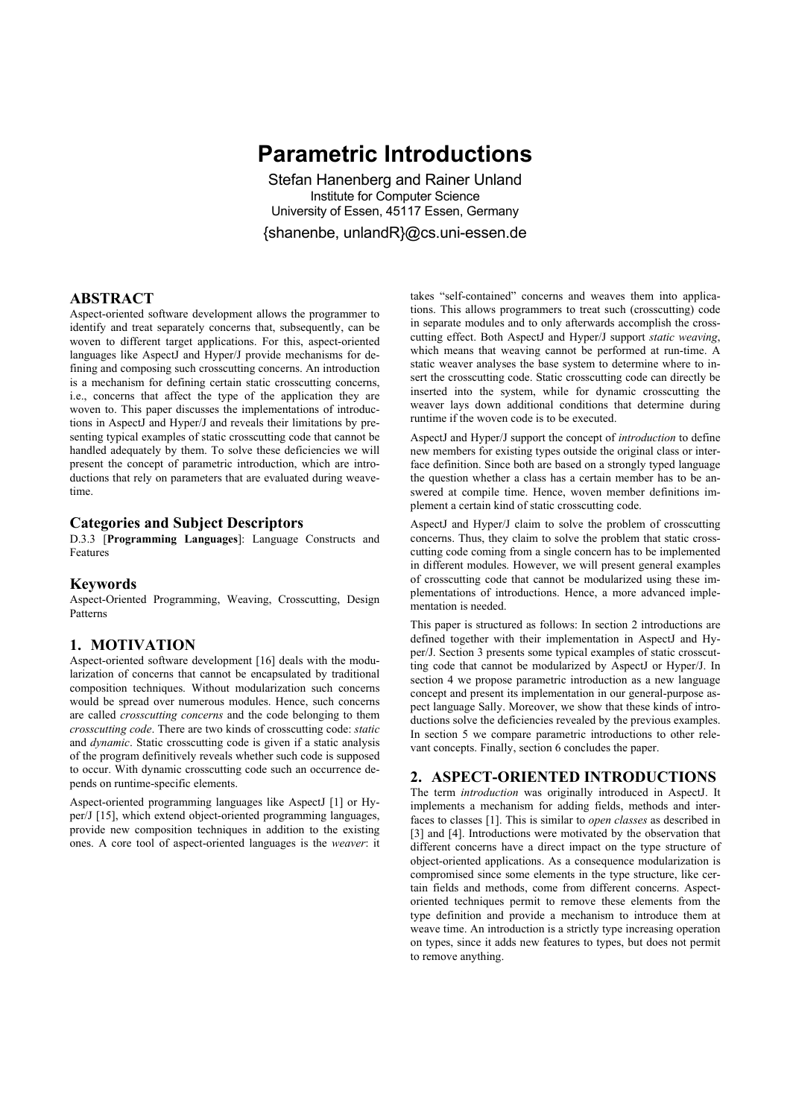# **Parametric Introductions**

Stefan Hanenberg and Rainer Unland Institute for Computer Science University of Essen, 45117 Essen, Germany {shanenbe, unlandR}@cs.uni-essen.de

# **ABSTRACT**

Aspect-oriented software development allows the programmer to identify and treat separately concerns that, subsequently, can be woven to different target applications. For this, aspect-oriented languages like AspectJ and Hyper/J provide mechanisms for defining and composing such crosscutting concerns. An introduction is a mechanism for defining certain static crosscutting concerns, i.e., concerns that affect the type of the application they are woven to. This paper discusses the implementations of introductions in AspectJ and Hyper/J and reveals their limitations by presenting typical examples of static crosscutting code that cannot be handled adequately by them. To solve these deficiencies we will present the concept of parametric introduction, which are introductions that rely on parameters that are evaluated during weavetime.

## **Categories and Subject Descriptors**

D.3.3 [**Programming Languages**]: Language Constructs and Features

#### **Keywords**

Aspect-Oriented Programming, Weaving, Crosscutting, Design Patterns

# **1. MOTIVATION**

Aspect-oriented software development [16] deals with the modularization of concerns that cannot be encapsulated by traditional composition techniques. Without modularization such concerns would be spread over numerous modules. Hence, such concerns are called *crosscutting concerns* and the code belonging to them *crosscutting code*. There are two kinds of crosscutting code: *static*  and *dynamic*. Static crosscutting code is given if a static analysis of the program definitively reveals whether such code is supposed to occur. With dynamic crosscutting code such an occurrence depends on runtime-specific elements.

Aspect-oriented programming languages like AspectJ [1] or Hyper/J [15], which extend object-oriented programming languages, provide new composition techniques in addition to the existing ones. A core tool of aspect-oriented languages is the *weaver*: it takes "self-contained" concerns and weaves them into applications. This allows programmers to treat such (crosscutting) code in separate modules and to only afterwards accomplish the crosscutting effect. Both AspectJ and Hyper/J support *static weaving*, which means that weaving cannot be performed at run-time. A static weaver analyses the base system to determine where to insert the crosscutting code. Static crosscutting code can directly be inserted into the system, while for dynamic crosscutting the weaver lays down additional conditions that determine during runtime if the woven code is to be executed.

AspectJ and Hyper/J support the concept of *introduction* to define new members for existing types outside the original class or interface definition. Since both are based on a strongly typed language the question whether a class has a certain member has to be answered at compile time. Hence, woven member definitions implement a certain kind of static crosscutting code.

AspectJ and Hyper/J claim to solve the problem of crosscutting concerns. Thus, they claim to solve the problem that static crosscutting code coming from a single concern has to be implemented in different modules. However, we will present general examples of crosscutting code that cannot be modularized using these implementations of introductions. Hence, a more advanced implementation is needed.

This paper is structured as follows: In section 2 introductions are defined together with their implementation in AspectJ and Hyper/J. Section 3 presents some typical examples of static crosscutting code that cannot be modularized by AspectJ or Hyper/J. In section 4 we propose parametric introduction as a new language concept and present its implementation in our general-purpose aspect language Sally. Moreover, we show that these kinds of introductions solve the deficiencies revealed by the previous examples. In section 5 we compare parametric introductions to other relevant concepts. Finally, section 6 concludes the paper.

## **2. ASPECT-ORIENTED INTRODUCTIONS**

The term *introduction* was originally introduced in AspectJ. It implements a mechanism for adding fields, methods and interfaces to classes [1]. This is similar to *open classes* as described in [3] and [4]. Introductions were motivated by the observation that different concerns have a direct impact on the type structure of object-oriented applications. As a consequence modularization is compromised since some elements in the type structure, like certain fields and methods, come from different concerns. Aspectoriented techniques permit to remove these elements from the type definition and provide a mechanism to introduce them at weave time. An introduction is a strictly type increasing operation on types, since it adds new features to types, but does not permit to remove anything.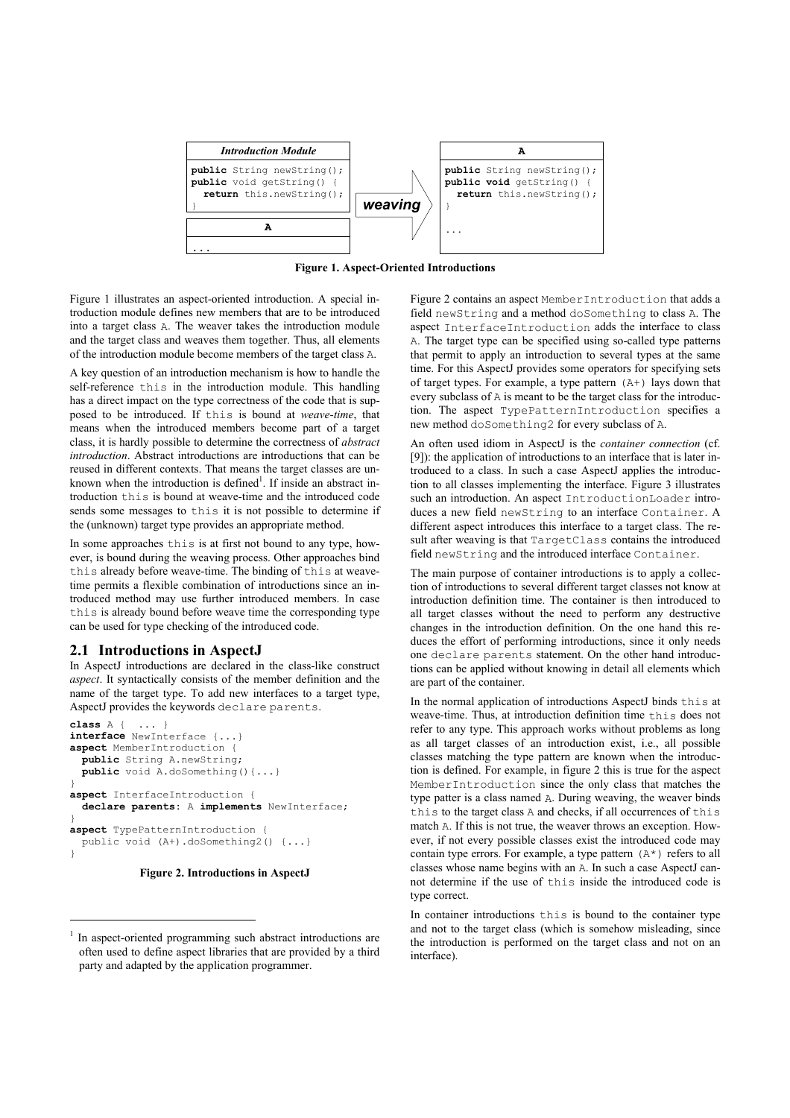

**Figure 1. Aspect-Oriented Introductions** 

Figure 1 illustrates an aspect-oriented introduction. A special introduction module defines new members that are to be introduced into a target class A. The weaver takes the introduction module and the target class and weaves them together. Thus, all elements of the introduction module become members of the target class A.

A key question of an introduction mechanism is how to handle the self-reference this in the introduction module. This handling has a direct impact on the type correctness of the code that is supposed to be introduced. If this is bound at *weave-time*, that means when the introduced members become part of a target class, it is hardly possible to determine the correctness of *abstract introduction*. Abstract introductions are introductions that can be reused in different contexts. That means the target classes are unknown when the introduction is defined<sup>1</sup>. If inside an abstract introduction this is bound at weave-time and the introduced code sends some messages to this it is not possible to determine if the (unknown) target type provides an appropriate method.

In some approaches this is at first not bound to any type, however, is bound during the weaving process. Other approaches bind this already before weave-time. The binding of this at weavetime permits a flexible combination of introductions since an introduced method may use further introduced members. In case this is already bound before weave time the corresponding type can be used for type checking of the introduced code.

## **2.1 Introductions in AspectJ**

j

In AspectJ introductions are declared in the class-like construct *aspect*. It syntactically consists of the member definition and the name of the target type. To add new interfaces to a target type, AspectJ provides the keywords declare parents.

```
class A { ... } 
interface NewInterface {...} 
aspect MemberIntroduction { 
   public String A.newString; 
   public void A.doSomething(){...} 
} 
aspect InterfaceIntroduction { 
   declare parents: A implements NewInterface; 
} 
aspect TypePatternIntroduction { 
   public void (A+).doSomething2() {...} 
}
```
**Figure 2. Introductions in AspectJ** 

Figure 2 contains an aspect MemberIntroduction that adds a field newString and a method doSomething to class A. The aspect InterfaceIntroduction adds the interface to class A. The target type can be specified using so-called type patterns that permit to apply an introduction to several types at the same time. For this AspectJ provides some operators for specifying sets of target types. For example, a type pattern (A+) lays down that every subclass of A is meant to be the target class for the introduction. The aspect TypePatternIntroduction specifies a new method doSomething2 for every subclass of A.

An often used idiom in AspectJ is the *container connection* (cf. [9]): the application of introductions to an interface that is later introduced to a class. In such a case AspectJ applies the introduction to all classes implementing the interface. Figure 3 illustrates such an introduction. An aspect IntroductionLoader introduces a new field newString to an interface Container. A different aspect introduces this interface to a target class. The result after weaving is that TargetClass contains the introduced field newString and the introduced interface Container.

The main purpose of container introductions is to apply a collection of introductions to several different target classes not know at introduction definition time. The container is then introduced to all target classes without the need to perform any destructive changes in the introduction definition. On the one hand this reduces the effort of performing introductions, since it only needs one declare parents statement. On the other hand introductions can be applied without knowing in detail all elements which are part of the container.

In the normal application of introductions AspectJ binds this at weave-time. Thus, at introduction definition time this does not refer to any type. This approach works without problems as long as all target classes of an introduction exist, i.e., all possible classes matching the type pattern are known when the introduction is defined. For example, in figure 2 this is true for the aspect MemberIntroduction since the only class that matches the type patter is a class named A. During weaving, the weaver binds this to the target class A and checks, if all occurrences of this match A. If this is not true, the weaver throws an exception. However, if not every possible classes exist the introduced code may contain type errors. For example, a type pattern  $(A^*)$  refers to all classes whose name begins with an A. In such a case AspectJ cannot determine if the use of this inside the introduced code is type correct.

In container introductions this is bound to the container type and not to the target class (which is somehow misleading, since the introduction is performed on the target class and not on an interface).

<sup>1</sup> In aspect-oriented programming such abstract introductions are often used to define aspect libraries that are provided by a third party and adapted by the application programmer.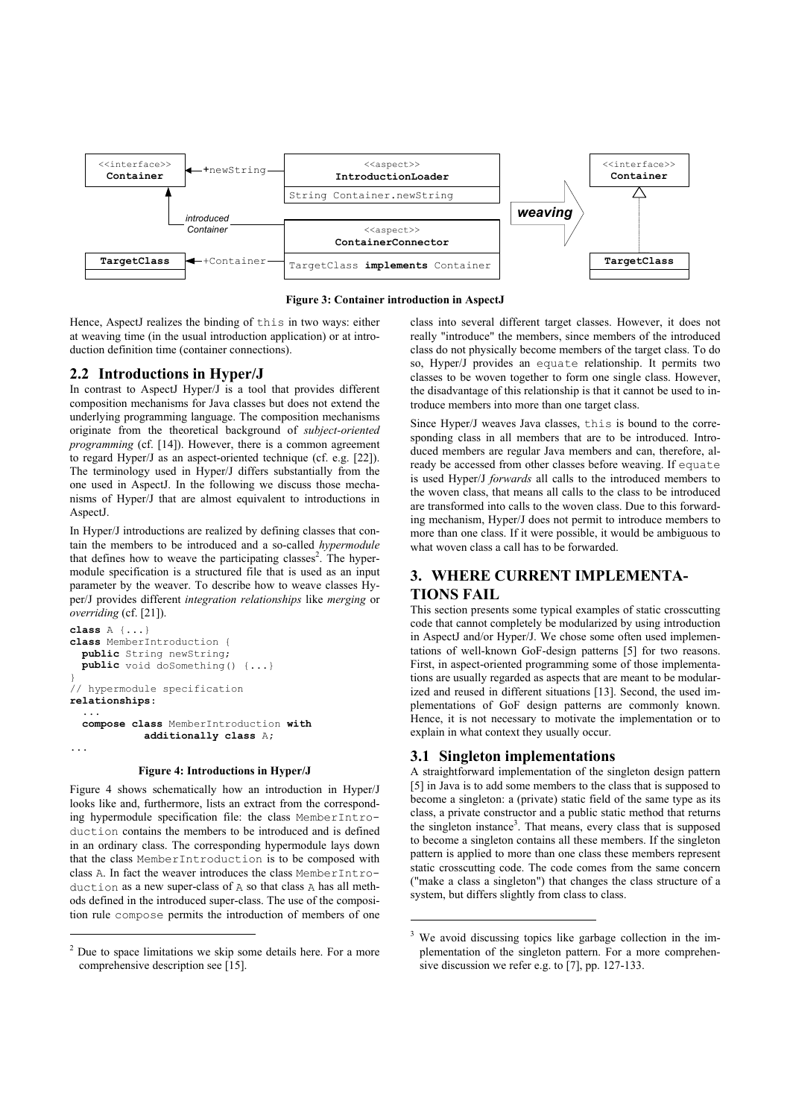

**Figure 3: Container introduction in AspectJ** 

Hence, AspectJ realizes the binding of this in two ways: either at weaving time (in the usual introduction application) or at introduction definition time (container connections).

#### **2.2 Introductions in Hyper/J**

In contrast to AspectJ Hyper/J is a tool that provides different composition mechanisms for Java classes but does not extend the underlying programming language. The composition mechanisms originate from the theoretical background of *subject-oriented programming* (cf. [14]). However, there is a common agreement to regard Hyper/J as an aspect-oriented technique (cf. e.g. [22]). The terminology used in Hyper/J differs substantially from the one used in AspectJ. In the following we discuss those mechanisms of Hyper/J that are almost equivalent to introductions in AspectJ.

In Hyper/J introductions are realized by defining classes that contain the members to be introduced and a so-called *hypermodule* that defines how to weave the participating classes<sup>2</sup>. The hypermodule specification is a structured file that is used as an input parameter by the weaver. To describe how to weave classes Hyper/J provides different *integration relationships* like *merging* or *overriding* (cf. [21]).

```
class A {...}
class MemberIntroduction { 
   public String newString; 
   public void doSomething() {...} 
} 
// hypermodule specification 
relationships: 
 ...
   compose class MemberIntroduction with 
              additionally class A;
...
```
#### **Figure 4: Introductions in Hyper/J**

Figure 4 shows schematically how an introduction in Hyper/J looks like and, furthermore, lists an extract from the corresponding hypermodule specification file: the class MemberIntroduction contains the members to be introduced and is defined in an ordinary class. The corresponding hypermodule lays down that the class MemberIntroduction is to be composed with class A. In fact the weaver introduces the class MemberIntroduction as a new super-class of A so that class A has all methods defined in the introduced super-class. The use of the composition rule compose permits the introduction of members of one

 $\overline{a}$ 

class into several different target classes. However, it does not really "introduce" the members, since members of the introduced class do not physically become members of the target class. To do so, Hyper/J provides an equate relationship. It permits two classes to be woven together to form one single class. However, the disadvantage of this relationship is that it cannot be used to introduce members into more than one target class.

Since Hyper/J weaves Java classes, this is bound to the corresponding class in all members that are to be introduced. Introduced members are regular Java members and can, therefore, already be accessed from other classes before weaving. If equate is used Hyper/J *forwards* all calls to the introduced members to the woven class, that means all calls to the class to be introduced are transformed into calls to the woven class. Due to this forwarding mechanism, Hyper/J does not permit to introduce members to more than one class. If it were possible, it would be ambiguous to what woven class a call has to be forwarded.

# **3. WHERE CURRENT IMPLEMENTA-TIONS FAIL**

This section presents some typical examples of static crosscutting code that cannot completely be modularized by using introduction in AspectJ and/or Hyper/J. We chose some often used implementations of well-known GoF-design patterns [5] for two reasons. First, in aspect-oriented programming some of those implementations are usually regarded as aspects that are meant to be modularized and reused in different situations [13]. Second, the used implementations of GoF design patterns are commonly known. Hence, it is not necessary to motivate the implementation or to explain in what context they usually occur.

## **3.1 Singleton implementations**

 $\overline{a}$ 

A straightforward implementation of the singleton design pattern [5] in Java is to add some members to the class that is supposed to become a singleton: a (private) static field of the same type as its class, a private constructor and a public static method that returns the singleton instance<sup>3</sup>. That means, every class that is supposed to become a singleton contains all these members. If the singleton pattern is applied to more than one class these members represent static crosscutting code. The code comes from the same concern ("make a class a singleton") that changes the class structure of a system, but differs slightly from class to class.

 $2$  Due to space limitations we skip some details here. For a more comprehensive description see [15].

<sup>&</sup>lt;sup>3</sup> We avoid discussing topics like garbage collection in the implementation of the singleton pattern. For a more comprehensive discussion we refer e.g. to [7], pp. 127-133.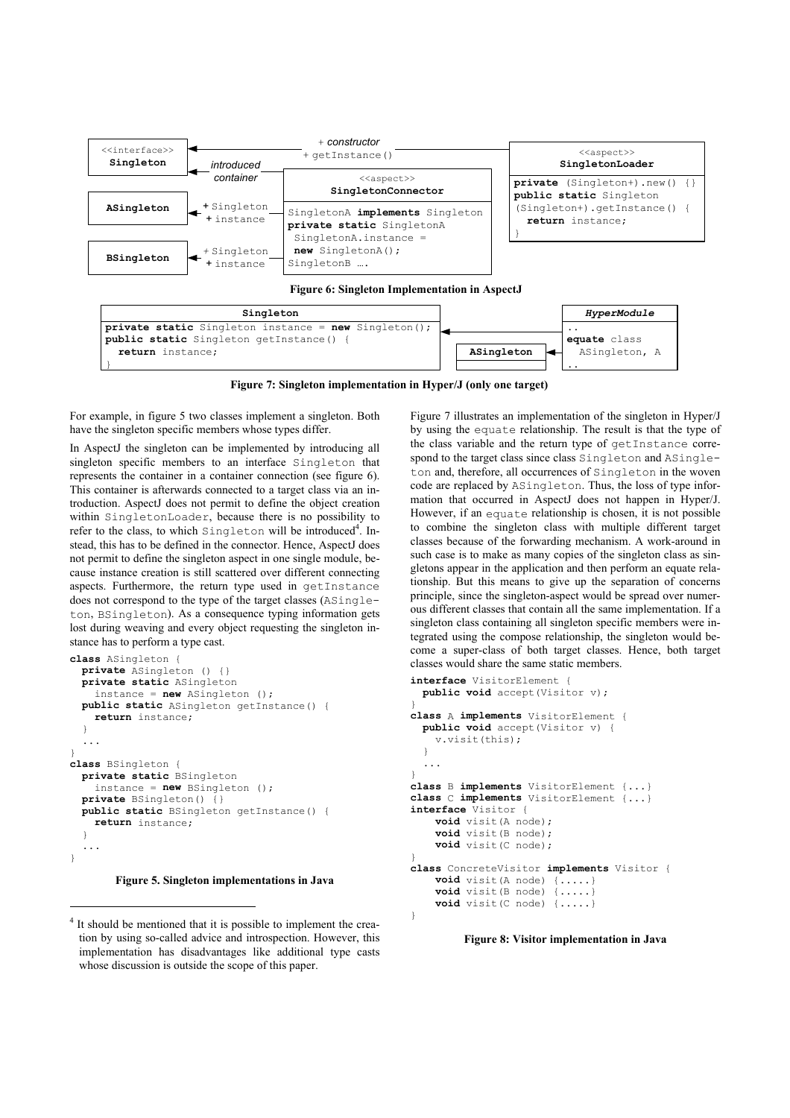



**Figure 7: Singleton implementation in Hyper/J (only one target)** 

For example, in figure 5 two classes implement a singleton. Both have the singleton specific members whose types differ.

In AspectJ the singleton can be implemented by introducing all singleton specific members to an interface Singleton that represents the container in a container connection (see figure 6). This container is afterwards connected to a target class via an introduction. AspectJ does not permit to define the object creation within SingletonLoader, because there is no possibility to refer to the class, to which Singleton will be introduced<sup>4</sup>. Instead, this has to be defined in the connector. Hence, AspectJ does not permit to define the singleton aspect in one single module, because instance creation is still scattered over different connecting aspects. Furthermore, the return type used in getInstance does not correspond to the type of the target classes (ASingleton, BSingleton). As a consequence typing information gets lost during weaving and every object requesting the singleton instance has to perform a type cast.

```
class ASingleton { 
   private ASingleton () {} 
   private static ASingleton 
     instance = new ASingleton (); 
   public static ASingleton getInstance() { 
     return instance; 
 } 
   ... 
} 
class BSingleton { 
   private static BSingleton 
     instance = new BSingleton (); 
   private BSingleton() {} 
   public static BSingleton getInstance() { 
     return instance; 
   } 
   ... 
}
```
#### **Figure 5. Singleton implementations in Java**

l

Figure 7 illustrates an implementation of the singleton in Hyper/J by using the equate relationship. The result is that the type of the class variable and the return type of getInstance correspond to the target class since class Singleton and ASingleton and, therefore, all occurrences of Singleton in the woven code are replaced by ASingleton. Thus, the loss of type information that occurred in AspectJ does not happen in Hyper/J. However, if an equate relationship is chosen, it is not possible to combine the singleton class with multiple different target classes because of the forwarding mechanism. A work-around in such case is to make as many copies of the singleton class as singletons appear in the application and then perform an equate relationship. But this means to give up the separation of concerns principle, since the singleton-aspect would be spread over numerous different classes that contain all the same implementation. If a singleton class containing all singleton specific members were integrated using the compose relationship, the singleton would become a super-class of both target classes. Hence, both target classes would share the same static members.

```
interface VisitorElement { 
  public void accept(Visitor v); 
}
class A implements VisitorElement { 
  public void accept(Visitor v) { 
     v.visit(this); 
   } 
   ... 
} 
class B implements VisitorElement {...}
class C implements VisitorElement {...} 
interface Visitor { 
     void visit(A node); 
     void visit(B node); 
     void visit(C node); 
} 
class ConcreteVisitor implements Visitor {
     void visit(A node) {.....} 
     void visit(B node) {.....} 
     void visit(C node) {.....} 
}
```
#### **Figure 8: Visitor implementation in Java**

<sup>4</sup> It should be mentioned that it is possible to implement the creation by using so-called advice and introspection. However, this implementation has disadvantages like additional type casts whose discussion is outside the scope of this paper.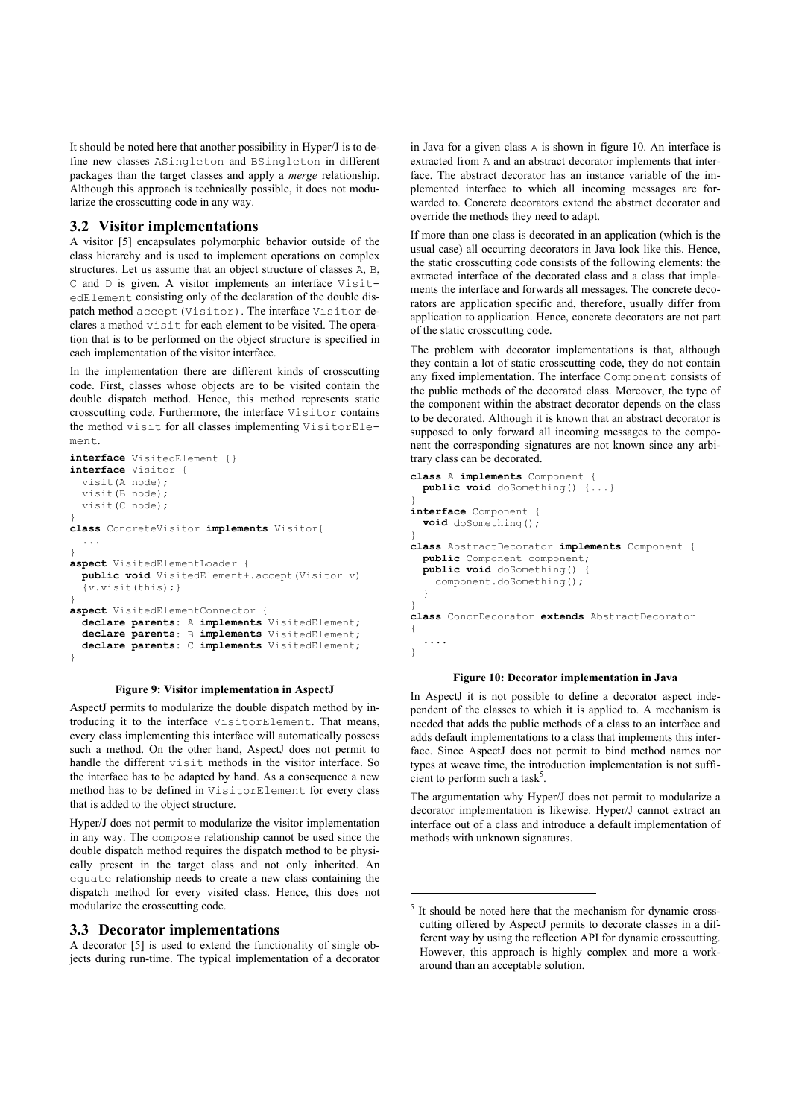It should be noted here that another possibility in Hyper/J is to define new classes ASingleton and BSingleton in different packages than the target classes and apply a *merge* relationship. Although this approach is technically possible, it does not modularize the crosscutting code in any way.

#### **3.2 Visitor implementations**

A visitor [5] encapsulates polymorphic behavior outside of the class hierarchy and is used to implement operations on complex structures. Let us assume that an object structure of classes A, B, C and D is given. A visitor implements an interface VisitedElement consisting only of the declaration of the double dispatch method accept(Visitor). The interface Visitor declares a method visit for each element to be visited. The operation that is to be performed on the object structure is specified in each implementation of the visitor interface.

In the implementation there are different kinds of crosscutting code. First, classes whose objects are to be visited contain the double dispatch method. Hence, this method represents static crosscutting code. Furthermore, the interface Visitor contains the method visit for all classes implementing VisitorElement.

```
interface VisitedElement {} 
interface Visitor { 
   visit(A node); 
   visit(B node); 
   visit(C node); 
} 
class ConcreteVisitor implements Visitor{ 
   ... 
} 
aspect VisitedElementLoader { 
   public void VisitedElement+.accept(Visitor v) 
   {v.visit(this);} 
}
aspect VisitedElementConnector { 
   declare parents: A implements VisitedElement;
   declare parents: B implements VisitedElement;
   declare parents: C implements VisitedElement;
}
```
#### **Figure 9: Visitor implementation in AspectJ**

AspectJ permits to modularize the double dispatch method by introducing it to the interface VisitorElement. That means, every class implementing this interface will automatically possess such a method. On the other hand, AspectJ does not permit to handle the different visit methods in the visitor interface. So the interface has to be adapted by hand. As a consequence a new method has to be defined in VisitorElement for every class that is added to the object structure.

Hyper/J does not permit to modularize the visitor implementation in any way. The compose relationship cannot be used since the double dispatch method requires the dispatch method to be physically present in the target class and not only inherited. An equate relationship needs to create a new class containing the dispatch method for every visited class. Hence, this does not modularize the crosscutting code.

#### **3.3 Decorator implementations**

A decorator [5] is used to extend the functionality of single objects during run-time. The typical implementation of a decorator

in Java for a given class A is shown in figure 10. An interface is extracted from A and an abstract decorator implements that interface. The abstract decorator has an instance variable of the implemented interface to which all incoming messages are forwarded to. Concrete decorators extend the abstract decorator and override the methods they need to adapt.

If more than one class is decorated in an application (which is the usual case) all occurring decorators in Java look like this. Hence, the static crosscutting code consists of the following elements: the extracted interface of the decorated class and a class that implements the interface and forwards all messages. The concrete decorators are application specific and, therefore, usually differ from application to application. Hence, concrete decorators are not part of the static crosscutting code.

The problem with decorator implementations is that, although they contain a lot of static crosscutting code, they do not contain any fixed implementation. The interface Component consists of the public methods of the decorated class. Moreover, the type of the component within the abstract decorator depends on the class to be decorated. Although it is known that an abstract decorator is supposed to only forward all incoming messages to the component the corresponding signatures are not known since any arbitrary class can be decorated.

```
class A implements Component { 
  public void doSomething() {...} 
} 
interface Component { 
  void doSomething();
} 
class AbstractDecorator implements Component {
  public Component component; 
  public void doSomething() { 
     component.doSomething(); 
   } 
} 
class ConcrDecorator extends AbstractDecorator 
{ 
   .... 
}
```
#### **Figure 10: Decorator implementation in Java**

In AspectJ it is not possible to define a decorator aspect independent of the classes to which it is applied to. A mechanism is needed that adds the public methods of a class to an interface and adds default implementations to a class that implements this interface. Since AspectJ does not permit to bind method names nor types at weave time, the introduction implementation is not sufficient to perform such a task<sup>5</sup>.

The argumentation why Hyper/J does not permit to modularize a decorator implementation is likewise. Hyper/J cannot extract an interface out of a class and introduce a default implementation of methods with unknown signatures.

 $\overline{a}$ 

<sup>&</sup>lt;sup>5</sup> It should be noted here that the mechanism for dynamic crosscutting offered by AspectJ permits to decorate classes in a different way by using the reflection API for dynamic crosscutting. However, this approach is highly complex and more a workaround than an acceptable solution.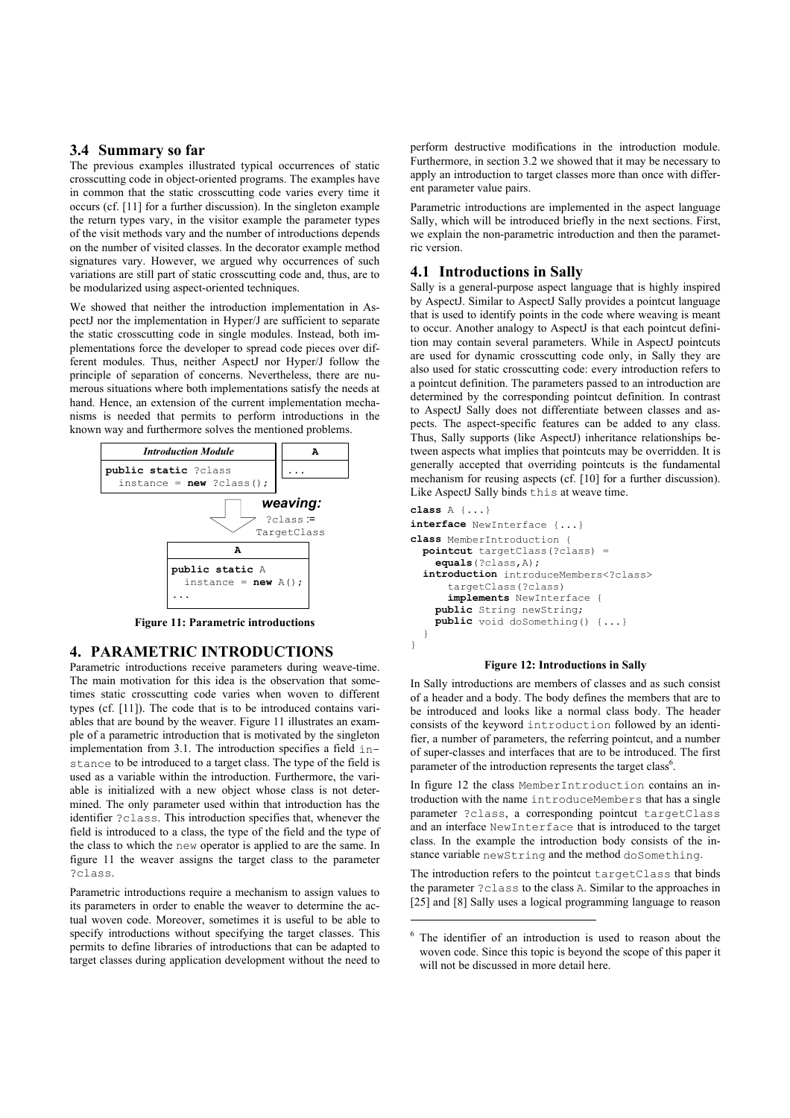## **3.4 Summary so far**

The previous examples illustrated typical occurrences of static crosscutting code in object-oriented programs. The examples have in common that the static crosscutting code varies every time it occurs (cf. [11] for a further discussion). In the singleton example the return types vary, in the visitor example the parameter types of the visit methods vary and the number of introductions depends on the number of visited classes. In the decorator example method signatures vary. However, we argued why occurrences of such variations are still part of static crosscutting code and, thus, are to be modularized using aspect-oriented techniques.

We showed that neither the introduction implementation in AspectJ nor the implementation in Hyper/J are sufficient to separate the static crosscutting code in single modules. Instead, both implementations force the developer to spread code pieces over different modules. Thus, neither AspectJ nor Hyper/J follow the principle of separation of concerns. Nevertheless, there are numerous situations where both implementations satisfy the needs at hand. Hence, an extension of the current implementation mechanisms is needed that permits to perform introductions in the known way and furthermore solves the mentioned problems.



**Figure 11: Parametric introductions** 

#### **4. PARAMETRIC INTRODUCTIONS**

Parametric introductions receive parameters during weave-time. The main motivation for this idea is the observation that sometimes static crosscutting code varies when woven to different types (cf. [11]). The code that is to be introduced contains variables that are bound by the weaver. Figure 11 illustrates an example of a parametric introduction that is motivated by the singleton implementation from 3.1. The introduction specifies a field instance to be introduced to a target class. The type of the field is used as a variable within the introduction. Furthermore, the variable is initialized with a new object whose class is not determined. The only parameter used within that introduction has the identifier ?class. This introduction specifies that, whenever the field is introduced to a class, the type of the field and the type of the class to which the new operator is applied to are the same. In figure 11 the weaver assigns the target class to the parameter ?class.

Parametric introductions require a mechanism to assign values to its parameters in order to enable the weaver to determine the actual woven code. Moreover, sometimes it is useful to be able to specify introductions without specifying the target classes. This permits to define libraries of introductions that can be adapted to target classes during application development without the need to

perform destructive modifications in the introduction module. Furthermore, in section 3.2 we showed that it may be necessary to apply an introduction to target classes more than once with different parameter value pairs.

Parametric introductions are implemented in the aspect language Sally, which will be introduced briefly in the next sections. First, we explain the non-parametric introduction and then the parametric version.

## **4.1 Introductions in Sally**

Sally is a general-purpose aspect language that is highly inspired by AspectJ. Similar to AspectJ Sally provides a pointcut language that is used to identify points in the code where weaving is meant to occur. Another analogy to AspectJ is that each pointcut definition may contain several parameters. While in AspectJ pointcuts are used for dynamic crosscutting code only, in Sally they are also used for static crosscutting code: every introduction refers to a pointcut definition. The parameters passed to an introduction are determined by the corresponding pointcut definition. In contrast to AspectJ Sally does not differentiate between classes and aspects. The aspect-specific features can be added to any class. Thus, Sally supports (like AspectJ) inheritance relationships between aspects what implies that pointcuts may be overridden. It is generally accepted that overriding pointcuts is the fundamental mechanism for reusing aspects (cf. [10] for a further discussion). Like AspectJ Sally binds this at weave time.

```
class A {...} 
interface NewInterface {...} 
class MemberIntroduction { 
  pointcut targetClass(?class) = 
     equals(?class,A); 
   introduction introduceMembers<?class> 
       targetClass(?class) 
       implements NewInterface { 
     public String newString; 
     public void doSomething() {...} 
 } 
}
```
#### **Figure 12: Introductions in Sally**

In Sally introductions are members of classes and as such consist of a header and a body. The body defines the members that are to be introduced and looks like a normal class body. The header consists of the keyword introduction followed by an identifier, a number of parameters, the referring pointcut, and a number of super-classes and interfaces that are to be introduced. The first parameter of the introduction represents the target class<sup>6</sup>.

In figure 12 the class MemberIntroduction contains an introduction with the name introduceMembers that has a single parameter ?class, a corresponding pointcut targetClass and an interface NewInterface that is introduced to the target class. In the example the introduction body consists of the instance variable newString and the method doSomething.

The introduction refers to the pointcut targetClass that binds the parameter ?class to the class A. Similar to the approaches in [25] and [8] Sally uses a logical programming language to reason

 $\overline{a}$ 

<sup>6</sup> The identifier of an introduction is used to reason about the woven code. Since this topic is beyond the scope of this paper it will not be discussed in more detail here.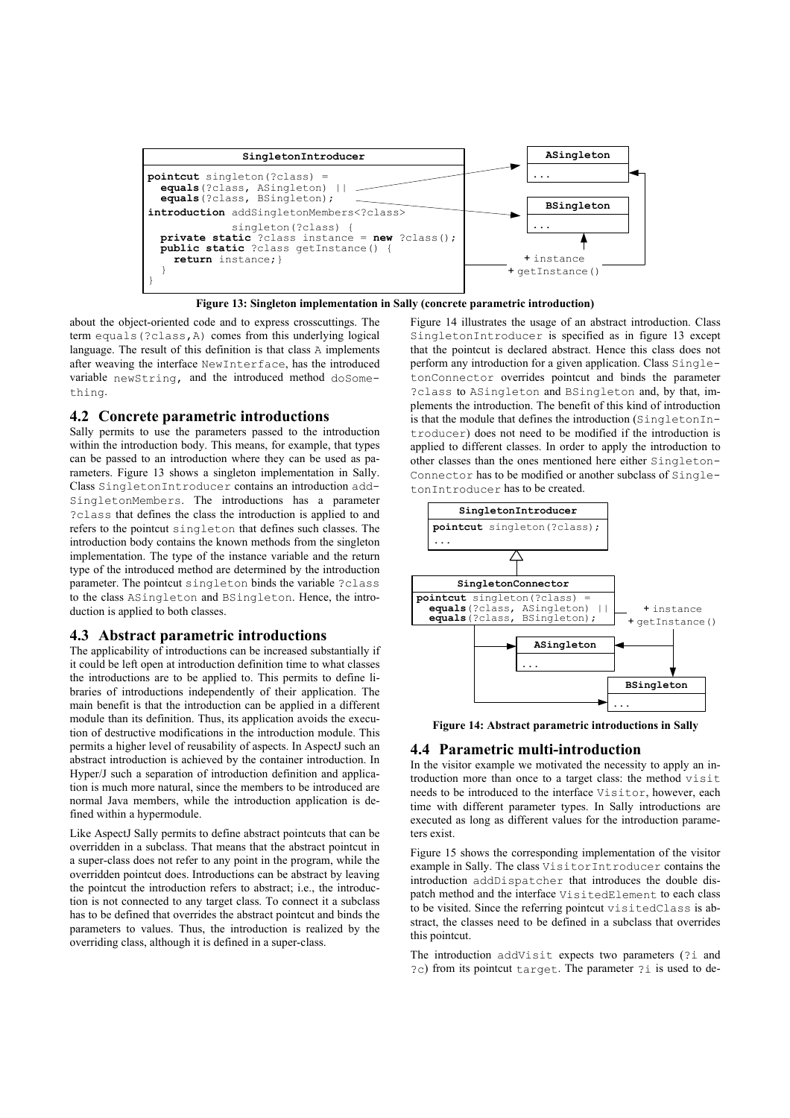

**Figure 13: Singleton implementation in Sally (concrete parametric introduction)** 

about the object-oriented code and to express crosscuttings. The term equals(?class,A) comes from this underlying logical language. The result of this definition is that class A implements after weaving the interface NewInterface, has the introduced variable newString, and the introduced method doSomething.

#### **4.2 Concrete parametric introductions**

Sally permits to use the parameters passed to the introduction within the introduction body. This means, for example, that types can be passed to an introduction where they can be used as parameters. Figure 13 shows a singleton implementation in Sally. Class SingletonIntroducer contains an introduction add-SingletonMembers. The introductions has a parameter ?class that defines the class the introduction is applied to and refers to the pointcut singleton that defines such classes. The introduction body contains the known methods from the singleton implementation. The type of the instance variable and the return type of the introduced method are determined by the introduction parameter. The pointcut singleton binds the variable ?class to the class ASingleton and BSingleton. Hence, the introduction is applied to both classes.

#### **4.3 Abstract parametric introductions**

The applicability of introductions can be increased substantially if it could be left open at introduction definition time to what classes the introductions are to be applied to. This permits to define libraries of introductions independently of their application. The main benefit is that the introduction can be applied in a different module than its definition. Thus, its application avoids the execution of destructive modifications in the introduction module. This permits a higher level of reusability of aspects. In AspectJ such an abstract introduction is achieved by the container introduction. In Hyper/J such a separation of introduction definition and application is much more natural, since the members to be introduced are normal Java members, while the introduction application is defined within a hypermodule.

Like AspectJ Sally permits to define abstract pointcuts that can be overridden in a subclass. That means that the abstract pointcut in a super-class does not refer to any point in the program, while the overridden pointcut does. Introductions can be abstract by leaving the pointcut the introduction refers to abstract; i.e., the introduction is not connected to any target class. To connect it a subclass has to be defined that overrides the abstract pointcut and binds the parameters to values. Thus, the introduction is realized by the overriding class, although it is defined in a super-class.

Figure 14 illustrates the usage of an abstract introduction. Class SingletonIntroducer is specified as in figure 13 except that the pointcut is declared abstract. Hence this class does not perform any introduction for a given application. Class SingletonConnector overrides pointcut and binds the parameter ?class to ASingleton and BSingleton and, by that, implements the introduction. The benefit of this kind of introduction is that the module that defines the introduction (SingletonIntroducer) does not need to be modified if the introduction is applied to different classes. In order to apply the introduction to other classes than the ones mentioned here either Singleton-Connector has to be modified or another subclass of SingletonIntroducer has to be created.



**Figure 14: Abstract parametric introductions in Sally** 

#### **4.4 Parametric multi-introduction**

In the visitor example we motivated the necessity to apply an introduction more than once to a target class: the method visit needs to be introduced to the interface Visitor, however, each time with different parameter types. In Sally introductions are executed as long as different values for the introduction parameters exist.

Figure 15 shows the corresponding implementation of the visitor example in Sally. The class VisitorIntroducer contains the introduction addDispatcher that introduces the double dispatch method and the interface VisitedElement to each class to be visited. Since the referring pointcut visitedClass is abstract, the classes need to be defined in a subclass that overrides this pointcut.

The introduction addVisit expects two parameters (?i and ?c) from its pointcut target. The parameter ?i is used to de-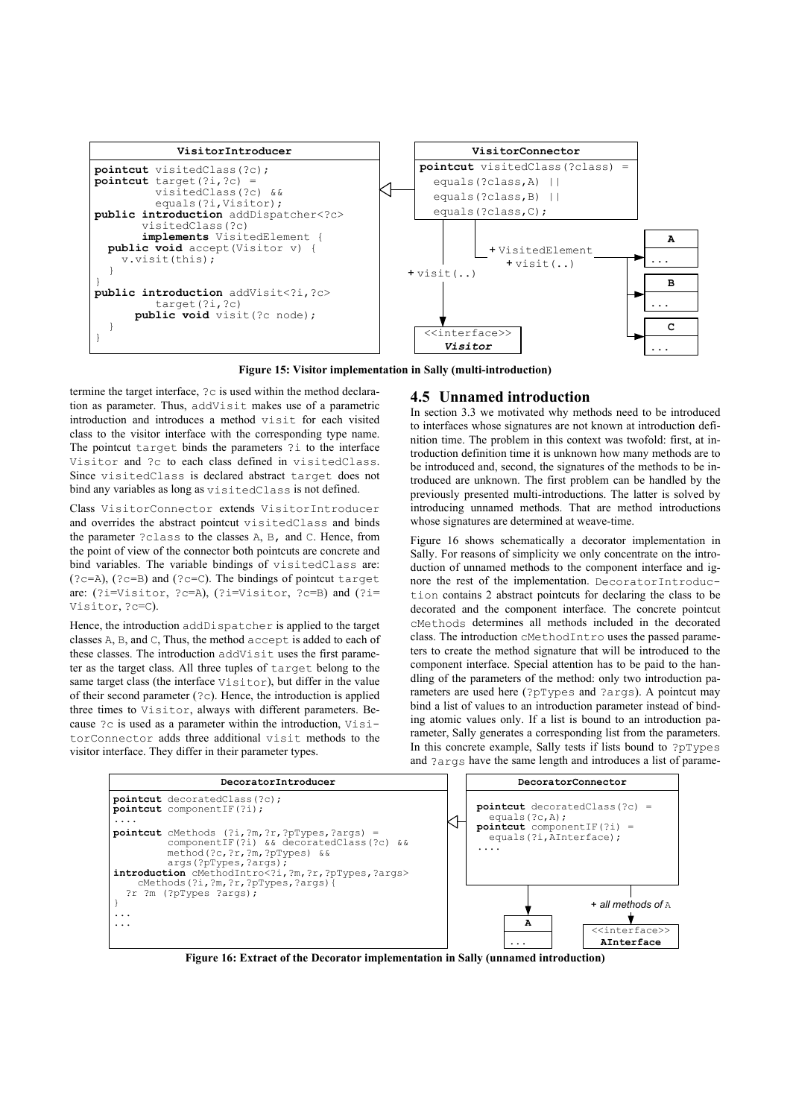

**Figure 15: Visitor implementation in Sally (multi-introduction)** 

termine the target interface,  $2c$  is used within the method declaration as parameter. Thus, addVisit makes use of a parametric introduction and introduces a method visit for each visited class to the visitor interface with the corresponding type name. The pointcut target binds the parameters ?i to the interface Visitor and ?c to each class defined in visitedClass. Since visitedClass is declared abstract target does not bind any variables as long as visitedClass is not defined.

Class VisitorConnector extends VisitorIntroducer and overrides the abstract pointcut visitedClass and binds the parameter ?class to the classes A, B, and C. Hence, from the point of view of the connector both pointcuts are concrete and bind variables. The variable bindings of visitedClass are: (?c=A), (?c=B) and (?c=C). The bindings of pointcut target are: (?i=Visitor, ?c=A), (?i=Visitor, ?c=B) and (?i= Visitor, ?c=C).

Hence, the introduction addDispatcher is applied to the target classes A, B, and C, Thus, the method accept is added to each of these classes. The introduction addVisit uses the first parameter as the target class. All three tuples of target belong to the same target class (the interface Visitor), but differ in the value of their second parameter (?c). Hence, the introduction is applied three times to Visitor, always with different parameters. Because ?c is used as a parameter within the introduction, VisitorConnector adds three additional visit methods to the visitor interface. They differ in their parameter types.

#### **4.5 Unnamed introduction**

In section 3.3 we motivated why methods need to be introduced to interfaces whose signatures are not known at introduction definition time. The problem in this context was twofold: first, at introduction definition time it is unknown how many methods are to be introduced and, second, the signatures of the methods to be introduced are unknown. The first problem can be handled by the previously presented multi-introductions. The latter is solved by introducing unnamed methods. That are method introductions whose signatures are determined at weave-time.

Figure 16 shows schematically a decorator implementation in Sally. For reasons of simplicity we only concentrate on the introduction of unnamed methods to the component interface and ignore the rest of the implementation. DecoratorIntroduction contains 2 abstract pointcuts for declaring the class to be decorated and the component interface. The concrete pointcut cMethods determines all methods included in the decorated class. The introduction cMethodIntro uses the passed parameters to create the method signature that will be introduced to the component interface. Special attention has to be paid to the handling of the parameters of the method: only two introduction parameters are used here (?pTypes and ?args). A pointcut may bind a list of values to an introduction parameter instead of binding atomic values only. If a list is bound to an introduction parameter, Sally generates a corresponding list from the parameters. In this concrete example, Sally tests if lists bound to ?pTypes and ?args have the same length and introduces a list of parame-



**Figure 16: Extract of the Decorator implementation in Sally (unnamed introduction)**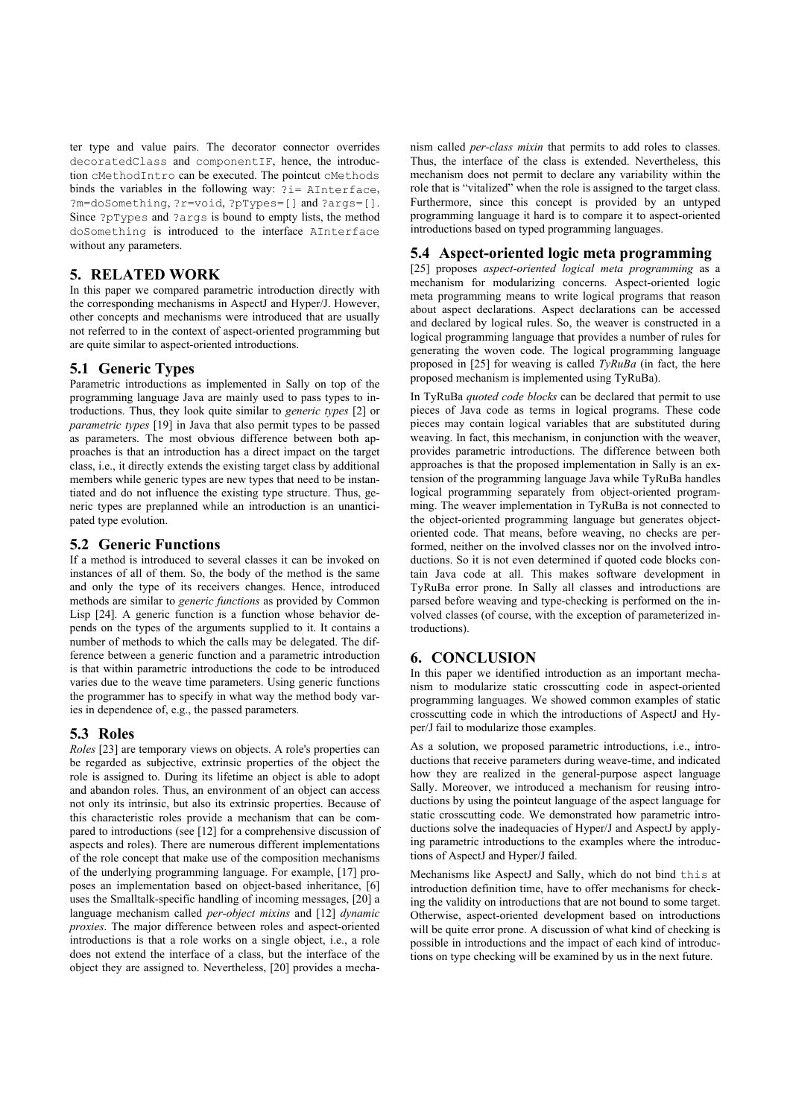ter type and value pairs. The decorator connector overrides decoratedClass and componentIF, hence, the introduction cMethodIntro can be executed. The pointcut cMethods binds the variables in the following way: ?i= AInterface, ?m=doSomething, ?r=void, ?pTypes=[] and ?args=[]. Since ?pTypes and ?args is bound to empty lists, the method doSomething is introduced to the interface AInterface without any parameters.

# **5. RELATED WORK**

In this paper we compared parametric introduction directly with the corresponding mechanisms in AspectJ and Hyper/J. However, other concepts and mechanisms were introduced that are usually not referred to in the context of aspect-oriented programming but are quite similar to aspect-oriented introductions.

# **5.1 Generic Types**

Parametric introductions as implemented in Sally on top of the programming language Java are mainly used to pass types to introductions. Thus, they look quite similar to *generic types* [2] or *parametric types* [19] in Java that also permit types to be passed as parameters. The most obvious difference between both approaches is that an introduction has a direct impact on the target class, i.e., it directly extends the existing target class by additional members while generic types are new types that need to be instantiated and do not influence the existing type structure. Thus, generic types are preplanned while an introduction is an unanticipated type evolution.

# **5.2 Generic Functions**

If a method is introduced to several classes it can be invoked on instances of all of them. So, the body of the method is the same and only the type of its receivers changes. Hence, introduced methods are similar to *generic functions* as provided by Common Lisp [24]. A generic function is a function whose behavior depends on the types of the arguments supplied to it. It contains a number of methods to which the calls may be delegated. The difference between a generic function and a parametric introduction is that within parametric introductions the code to be introduced varies due to the weave time parameters. Using generic functions the programmer has to specify in what way the method body varies in dependence of, e.g., the passed parameters.

## **5.3 Roles**

*Roles* [23] are temporary views on objects. A role's properties can be regarded as subjective, extrinsic properties of the object the role is assigned to. During its lifetime an object is able to adopt and abandon roles. Thus, an environment of an object can access not only its intrinsic, but also its extrinsic properties. Because of this characteristic roles provide a mechanism that can be compared to introductions (see [12] for a comprehensive discussion of aspects and roles). There are numerous different implementations of the role concept that make use of the composition mechanisms of the underlying programming language. For example, [17] proposes an implementation based on object-based inheritance, [6] uses the Smalltalk-specific handling of incoming messages, [20] a language mechanism called *per-object mixins* and [12] *dynamic proxies*. The major difference between roles and aspect-oriented introductions is that a role works on a single object, i.e., a role does not extend the interface of a class, but the interface of the object they are assigned to. Nevertheless, [20] provides a mecha-

nism called *per-class mixin* that permits to add roles to classes. Thus, the interface of the class is extended. Nevertheless, this mechanism does not permit to declare any variability within the role that is "vitalized" when the role is assigned to the target class. Furthermore, since this concept is provided by an untyped programming language it hard is to compare it to aspect-oriented introductions based on typed programming languages.

## **5.4 Aspect-oriented logic meta programming**

[25] proposes *aspect-oriented logical meta programming* as a mechanism for modularizing concerns. Aspect-oriented logic meta programming means to write logical programs that reason about aspect declarations. Aspect declarations can be accessed and declared by logical rules. So, the weaver is constructed in a logical programming language that provides a number of rules for generating the woven code. The logical programming language proposed in [25] for weaving is called *TyRuBa* (in fact, the here proposed mechanism is implemented using TyRuBa).

In TyRuBa *quoted code blocks* can be declared that permit to use pieces of Java code as terms in logical programs. These code pieces may contain logical variables that are substituted during weaving. In fact, this mechanism, in conjunction with the weaver, provides parametric introductions. The difference between both approaches is that the proposed implementation in Sally is an extension of the programming language Java while TyRuBa handles logical programming separately from object-oriented programming. The weaver implementation in TyRuBa is not connected to the object-oriented programming language but generates objectoriented code. That means, before weaving, no checks are performed, neither on the involved classes nor on the involved introductions. So it is not even determined if quoted code blocks contain Java code at all. This makes software development in TyRuBa error prone. In Sally all classes and introductions are parsed before weaving and type-checking is performed on the involved classes (of course, with the exception of parameterized introductions).

## **6. CONCLUSION**

In this paper we identified introduction as an important mechanism to modularize static crosscutting code in aspect-oriented programming languages. We showed common examples of static crosscutting code in which the introductions of AspectJ and Hyper/J fail to modularize those examples.

As a solution, we proposed parametric introductions, i.e., introductions that receive parameters during weave-time, and indicated how they are realized in the general-purpose aspect language Sally. Moreover, we introduced a mechanism for reusing introductions by using the pointcut language of the aspect language for static crosscutting code. We demonstrated how parametric introductions solve the inadequacies of Hyper/J and AspectJ by applying parametric introductions to the examples where the introductions of AspectJ and Hyper/J failed.

Mechanisms like AspectJ and Sally, which do not bind this at introduction definition time, have to offer mechanisms for checking the validity on introductions that are not bound to some target. Otherwise, aspect-oriented development based on introductions will be quite error prone. A discussion of what kind of checking is possible in introductions and the impact of each kind of introductions on type checking will be examined by us in the next future.